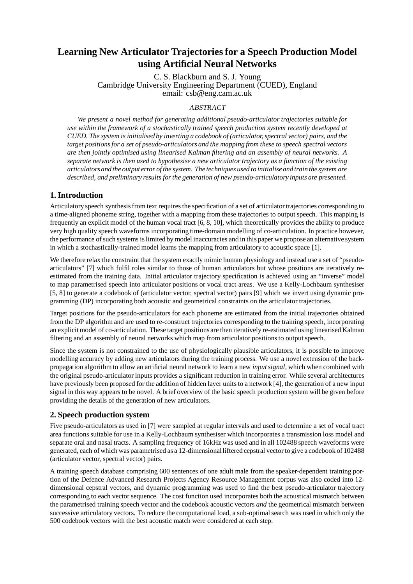# **Learning New Articulator Trajectories for a Speech Production Model using Artificial Neural Networks**

C. S. Blackburn and S. J. Young Cambridge University Engineering Department (CUED), England email: csb@eng.cam.ac.uk

# ABSTRACT

*We present a novel method for generating additional pseudo-articulator trajectories suitable for use within the framework of a stochastically trained speech production system recently developed at CUED. The system is initialised by inverting a codebook of (articulator, spectral vector) pairs, and the target positionsfor a set of pseudo-articulators and the mapping from these to speech spectral vectors are then jointly optimised using linearised Kalman filtering and an assembly of neural networks. A separate network is then used to hypothesise a new articulator trajectory as a function of the existing articulatorsand the output error of the system. The techniques used to initialiseand train the system are described, and preliminary results for the generation of new pseudo-articulatory inputs are presented.*

# **1. Introduction**

Articulatory speech synthesisfrom text requires the specification of a set of articulator trajectories corresponding to a time-aligned phoneme string, together with a mapping from these trajectories to output speech. This mapping is frequently an explicit model of the human vocal tract [6, 8, 10], which theoretically provides the ability to produce very high quality speech waveforms incorporating time-domain modelling of co-articulation. In practice however, the performance ofsuch systems islimited by model inaccuracies and in this paper we propose an alternative system in which a stochastically-trained model learns the mapping from articulatory to acoustic space [1].

We therefore relax the constraint that the system exactly mimic human physiology and instead use a set of "pseudoarticulators" [7] which fulfil roles similar to those of human articulators but whose positions are iteratively reestimated from the training data. Initial articulator trajectory specification is achieved using an "inverse" model to map parametrised speech into articulator positions or vocal tract areas. We use a Kelly-Lochbaum synthesiser [5, 8] to generate a codebook of (articulator vector, spectral vector) pairs [9] which we invert using dynamic programming (DP) incorporating both acoustic and geometrical constraints on the articulator trajectories.

Target positions for the pseudo-articulators for each phoneme are estimated from the initial trajectories obtained from the DP algorithm and are used to re-construct trajectories corresponding to the training speech, incorporating an explicitmodel of co-articulation. These target positions are then iteratively re-estimated using linearised Kalman filtering and an assembly of neural networks which map from articulator positions to output speech.

Since the system is not constrained to the use of physiologically plausible articulators, it is possible to improve modelling accuracy by adding new articulators during the training process. We use a novel extension of the backpropagation algorithm to allow an artificial neural network to learn a new *inputsignal*, which when combined with the original pseudo-articulator inputs provides a significant reduction in training error. While several architectures have previously been proposed for the addition of hidden layer units to a network [4], the generation of a new input signal in this way appears to be novel. A brief overview of the basic speech production system will be given before providing the details of the generation of new articulators.

# **2. Speech production system**

Five pseudo-articulators as used in [7] were sampled at regular intervals and used to determine a set of vocal tract area functions suitable for use in a Kelly-Lochbaum synthesiser which incorporates a transmission loss model and separate oral and nasal tracts. A sampling frequency of 16kHz was used and in all 102488 speech waveforms were generated, each of which was parametrised as a 12-dimensionalliftered cepstral vector to give a codebook of 102488 (articulator vector, spectral vector) pairs.

A training speech database comprising 600 sentences of one adult male from the speaker-dependent training portion of the Defence Advanced Research Projects Agency Resource Management corpus was also coded into 12 dimensional cepstral vectors, and dynamic programming was used to find the best pseudo-articulator trajectory corresponding to each vector sequence. The cost function used incorporates both the acoustical mismatch between the parametrised training speech vector and the codebook acoustic vectors *and* the geometrical mismatch between successive articulatory vectors. To reduce the computational load, a sub-optimal search was used in which only the 500 codebook vectors with the best acoustic match were considered at each step.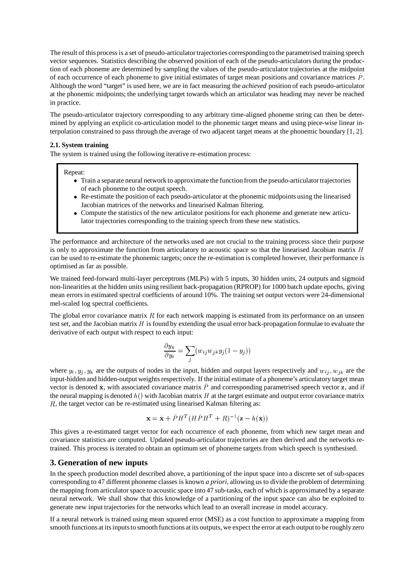The result of this process is a set of pseudo-articulator trajectories corresponding to the parametrised training speech vector sequences. Statistics describing the observed position of each of the pseudo-articulators during the production of each phoneme are determined by sampling the values of the pseudo-articulator trajectories at the midpoint of each occurrence of each phoneme to give initial estimates of target mean positions and covariance matrices  $\hat{P}$ . Although the word "target" is used here, we are in fact measuring the *achieved* position of each pseudo-articulator at the phonemic midpoints; the underlying target towards which an articulator was heading may never be reached in practice.

The pseudo-articulator trajectory corresponding to any arbitrary time-aligned phoneme string can then be determined by applying an explicit co-articulation model to the phonemic target means and using piece-wise linear interpolation constrained to pass through the average of two adjacent target means at the phonemic boundary [1, 2].

## **2.1. System training**

The system is trained using the following iterative re-estimation process:

#### Repeat:

- Train a separate neural network to approximate the function from the pseudo-articulator trajectories of each phoneme to the output speech.
- Re-estimate the position of each pseudo-articulator at the phonemic midpoints using the linearised Jacobian matrices of the networks and linearised Kalman filtering.
- Compute the statistics of the new articulator positions for each phoneme and generate new articulator trajectories corresponding to the training speech from these new statistics.

The performance and architecture of the networks used are not crucial to the training process since their purpose is only to approximate the function from articulatory to acoustic space so that the linearised Jacobian matrix  $H$ can be used to re-estimate the phonemic targets; once the re-estimation is completed however, their performance is optimised as far as possible.

We trained feed-forward multi-layer perceptrons (MLPs) with 5 inputs, 30 hidden units, 24 outputs and sigmoid non-linearities at the hidden units using resilient back-propagation (RPROP) for 1000 batch update epochs, giving mean errors in estimated spectral coefficients of around 10%. The training set output vectors were 24-dimensional mel-scaled log spectral coefficients.

The global error covariance matrix  $R$  for each network mapping is estimated from its performance on an unseen test set, and the Jacobian matrix  $H$  is found by extending the usual error back-propagation formulae to evaluate the derivative of each output with respect to each input:

$$
\frac{\partial y_k}{\partial y_i} = \sum_j (w_{ij} w_{jk} y_j (1 - y_j))
$$

where  $y_i, y_j, y_k$  are the outputs of nodes in the input, hidden and output layers respectively and  $w_{ij}$ ,  $w_{jk}$  are the input-hidden and hidden-output weights respectively. If the initial estimate of a phoneme's articulatory target mean vector is denoted  $\hat{\mathbf{x}}$ , with associated covariance matrix  $\hat{P}$  and corresponding parametrised speech vector  $\mathbf{z}$ , and if the neural mapping is denoted  $h()$  with Jacobian matrix H at the target estimate and output error covariance matrix  $R$ , the target vector can be re-estimated using linearised Kalman filtering as:

$$
\mathbf{x} = \hat{\mathbf{x}} + \hat{P}H^{T}(H\hat{P}H^{T} + R)^{-1}(\mathbf{z} - h(\hat{\mathbf{x}}))
$$

This gives a re-estimated target vector for each occurrence of each phoneme, from which new target mean and covariance statistics are computed. Updated pseudo-articulator trajectories are then derived and the networks retrained. This process is iterated to obtain an optimum set of phoneme targets from which speech is synthesised.

# **3. Generation of new inputs**

In the speech production model described above, a partitioning of the input space into a discrete set of sub-spaces corresponding to 47 different phoneme classes is known *a priori*, allowing us to divide the problem of determining the mapping from articulator space to acoustic space into 47 sub-tasks, each of which is approximated by a separate neural network. We shall show that this knowledge of a partitioning of the input space can also be exploited to generate new input trajectories for the networks which lead to an overall increase in model accuracy.

If a neural network is trained using mean squared error (MSE) as a cost function to approximate a mapping from smooth functions at its inputs to smooth functions at its outputs, we expect the error at each output to be roughly zero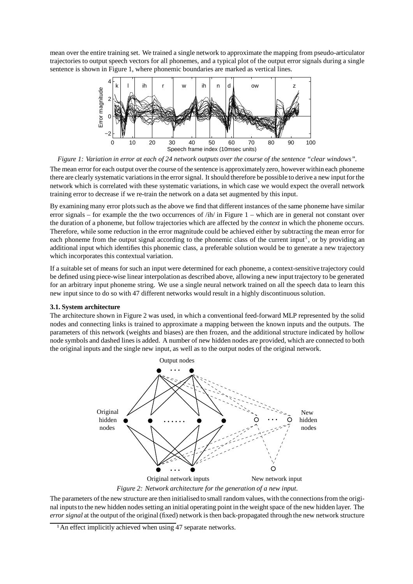mean over the entire training set. We trained a single network to approximate the mapping from pseudo-articulator trajectories to output speech vectors for all phonemes, and a typical plot of the output error signals during a single sentence is shown in Figure 1, where phonemic boundaries are marked as vertical lines.



Figure 1: Variation in error at each of 24 network outputs over the course of the sentence "clear windows".

The mean error for each output over the course of the sentence is approximately zero, however within each phoneme there are clearly systematic variations in the error signal. It should therefore be possible to derive a new input for the network which is correlated with these systematic variations, in which case we would expect the overall network training error to decrease if we re-train the network on a data set augmented by this input.

By examining many error plotssuch as the above we find that different instances of the same phoneme have similar error signals – for example the the two occurrences of  $/ih/$  in Figure 1 – which are in general not constant over the duration of a phoneme, but follow trajectories which are affected by the *context* in which the phoneme occurs. Therefore, while some reduction in the error magnitude could be achieved either by subtracting the mean error for each phoneme from the output signal according to the phonemic class of the current input<sup>1</sup>, or by providing an additional input which identifies this phonemic class, a preferable solution would be to generate a new trajectory which incorporates this contextual variation.

If a suitable set of means for such an input were determined for each phoneme, a context-sensitive trajectory could be defined using piece-wise linear interpolation as described above, allowing a new input trajectory to be generated for an arbitrary input phoneme string. We use a single neural network trained on all the speech data to learn this new input since to do so with 47 different networks would result in a highly discontinuous solution.

## **3.1. System architecture**

The architecture shown in Figure 2 was used, in which a conventional feed-forward MLP represented by the solid nodes and connecting links is trained to approximate a mapping between the known inputs and the outputs. The parameters of this network (weights and biases) are then frozen, and the additional structure indicated by hollow node symbols and dashed lines is added. A number of new hidden nodes are provided, which are connected to both the original inputs and the single new input, as well as to the output nodes of the original network.



*Figure 2: Network architecture for the generation of a new input.*

The parameters of the new structure are then initialised to small random values, with the connectionsfrom the original inputs to the new hidden nodes setting an initial operating point in the weight space of the new hidden layer. The *error signal* at the output of the original (fixed) network is then back-propagated through the new network structure

<sup>&</sup>lt;sup>1</sup> An effect implicitly achieved when using 47 separate networks.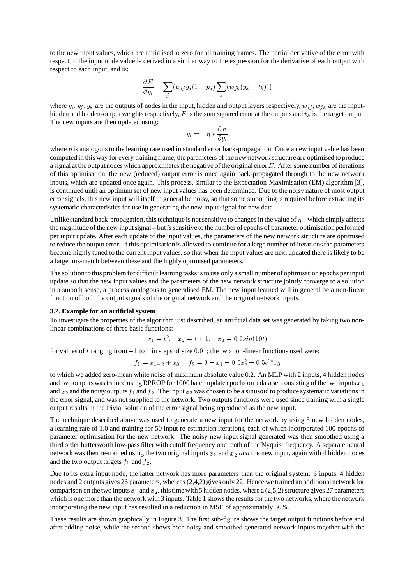to the new input values, which are initialised to zero for all training frames. The partial derivative of the error with respect to the input node value is derived in a similar way to the expression for the derivative of each output with respect to each input, and is:

$$
\frac{\partial E}{\partial y_i} = \sum_j (w_{ij} y_j (1 - y_j) \sum_k (w_{jk} (y_k - t_k)))
$$

where  $y_i, y_j, y_k$  are the outputs of nodes in the input, hidden and output layers respectively,  $w_{ij}, w_{jk}$  are the inputhidden and hidden-output weights respectively, E is the sum squared error at the outputs and  $t_k$  is the target output. The new inputs are then updated using:

$$
y_i = -\eta * \frac{\partial E}{\partial y_i}
$$

where  $\eta$  is analogous to the learning rate used in standard error back-propagation. Once a new input value has been computed in this way for every training frame, the parameters of the new network structure are optimised to produce a signal at the output nodes which approximates the negative of the original error  $E$ . After some number of iterations of this optimisation, the new (reduced) output error is once again back-propagated through to the new network inputs, which are updated once again. This process, similar to the Expectation-Maximisation (EM) algorithm [3], is continued until an optimum set of new input values has been determined. Due to the noisy nature of most output error signals, this new input will itself in general be noisy, so that some smoothing is required before extracting its systematic characteristics for use in generating the new input signal for new data.

Unlike standard back-propagation, this technique is not sensitive to changes in the value of  $\eta$  – which simply affects the magnitude of the new inputsignal – but *is*sensitive to the number of epochs of parameter optimisationperformed per input update. After each update of the input values, the parameters of the new network structure are optimised to reduce the output error. If this optimisation is allowed to continue for a large number of iterationsthe parameters become highly tuned to the current input values, so that when the input values are next updated there is likely to be a large mis-match between these and the highly optimised parameters.

The solutionto this problem for difficult learning tasksisto use only a small number of optimisationepochs per input update so that the new input values and the parameters of the new network structure jointly converge to a solution in a smooth sense, a process analogous to generalised EM. The new input learned will in general be a non-linear function of both the output signals of the original network and the original network inputs.

### **3.2. Example for an artificial system**

To investigate the properties of the algorithm just described, an artificial data set was generated by taking two nonlinear combinations of three basic functions:

$$
x_1 = t^2, \quad x_2 = t + 1, \quad x_3 = 0.2sin(10t)
$$

for values of t ranging from  $-1$  to 1 in steps of size  $0.01$ ; the two non-linear functions used were:

$$
f_1 = x_1 x_2 + x_3, \quad f_2 = 3 - x_1 - 0.5x_2^2 - 0.5e^{2t} x_3
$$

to which we added zero-mean white noise of maximum absolute value 0.2. An MLP with 2 inputs, 4 hidden nodes and two outputs was trained using RPROP for 1000 batch update epochs on a data set consisting of the two inputs  $x_1$ and  $x_2$  and the noisy outputs  $f_1$  and  $f_2$ . The input  $x_3$  was chosen to be a sinusoid to produce systematic variations in the error signal, and was not supplied to the network. Two outputs functions were used since training with a single output results in the trivial solution of the error signal being reproduced as the new input.

The technique described above was used to generate a new input for the network by using 3 new hidden nodes, a learning rate of 1.0 and training for 50 input re-estimation iterations, each of which incorporated 100 epochs of parameter optimisation for the new network. The noisy new input signal generated was then smoothed using a third order butterworth low-pass filter with cutoff frequency one tenth of the Nyquist frequency. A separate neural network was then re-trained using the two original inputs  $x_1$  and  $x_2$  and the new input, again with 4 hidden nodes and the two output targets  $f_1$  and  $f_2$ .

Due to its extra input node, the latter network has more parameters than the original system: 3 inputs, 4 hidden nodes and 2 outputs gives 26 parameters, whereas (2,4,2) gives only 22. Hence we trained an additional network for comparison on the two inputs  $x_1$  and  $x_2$ , this time with 5 hidden nodes, where a (2,5,2) structure gives 27 parameters which is one more than the network with 3 inputs. Table 1 shows the results for the two networks, where the network incorporating the new input has resulted in a reduction in MSE of approximately 56%.

These results are shown graphically in Figure 3. The first sub-figure shows the target output functions before and after adding noise, while the second shows both noisy and smoothed generated network inputs together with the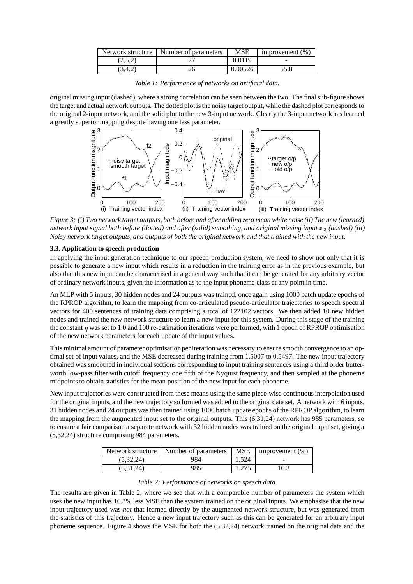| Network structure | Number of parameters | MSE     | improvement $(\%)$ |
|-------------------|----------------------|---------|--------------------|
| (2,5,2)           |                      | 0.0119  |                    |
| 3.4.2             |                      | 0.00526 | 55.8               |

*Table 1: Performance of networks on artificial data.*

originalmissing input (dashed), where a strong correlation can be seen between the two. The final sub-figure shows the target and actual network outputs. The dotted plot isthe noisy target output, while the dashed plot correspondsto the original 2-input network, and the solid plot to the new 3-input network. Clearly the 3-input network has learned a greatly superior mapping despite having one less parameter.



Figure 3: (i) Two network target outputs, both before and after adding zero mean white noise (ii) The new (learned) network input signal both before (dotted) and after (solid) smoothing, and original missing input x 3 (dashed) (iii) Noisy network target outputs, and outputs of both the original network and that trained with the new input.

## **3.3. Application to speech production**

In applying the input generation technique to our speech production system, we need to show not only that it is possible to generate a new input which results in a reduction in the training error as in the previous example, but also that this new input can be characterised in a general way such that it can be generated for any arbitrary vector of ordinary network inputs, given the information as to the input phoneme class at any point in time.

An MLP with 5 inputs, 30 hidden nodes and 24 outputs was trained, once again using 1000 batch update epochs of the RPROP algorithm, to learn the mapping from co-articulated pseudo-articulator trajectories to speech spectral vectors for 400 sentences of training data comprising a total of 122102 vectors. We then added 10 new hidden nodes and trained the new network structure to learn a new input for this system. During this stage of the training the constant  $\eta$  was set to 1.0 and 100 re-estimation iterations were performed, with 1 epoch of RPROP optimisation of the new network parameters for each update of the input values.

This minimal amount of parameter optimisation per iteration was necessary to ensure smooth convergence to an optimal set of input values, and the MSE decreased during training from 1.5007 to 0.5497. The new input trajectory obtained was smoothed in individual sections corresponding to input training sentences using a third order butterworth low-pass filter with cutoff frequency one fifth of the Nyquist frequency, and then sampled at the phoneme midpoints to obtain statistics for the mean position of the new input for each phoneme.

New input trajectories were constructed from these means using the same piece-wise continuousinterpolation used for the original inputs, and the new trajectory so formed was added to the original data set. A network with 6 inputs, 31 hidden nodes and 24 outputs was then trained using 1000 batch update epochs of the RPROP algorithm, to learn the mapping from the augmented input set to the original outputs. This (6,31,24) network has 985 parameters, so to ensure a fair comparison a separate network with 32 hidden nodes was trained on the original input set, giving a (5,32,24) structure comprising 984 parameters.

| Network structure | Number of parameters | <b>MSE</b> | improvement $(\%)$       |
|-------------------|----------------------|------------|--------------------------|
| (5,32,24)         | 984                  | 1.524      | $\overline{\phantom{a}}$ |
| (6.31.24)         | 985                  | 1.275      | 16.3                     |

### *Table 2: Performance of networks on speech data.*

The results are given in Table 2, where we see that with a comparable number of parameters the system which uses the new input has 16.3% less MSE than the system trained on the original inputs. We emphasise that the new input trajectory used was *not* that learned directly by the augmented network structure, but was generated from the statistics of this trajectory. Hence a new input trajectory such as this can be generated for an arbitrary input phoneme sequence. Figure 4 shows the MSE for both the (5,32,24) network trained on the original data and the